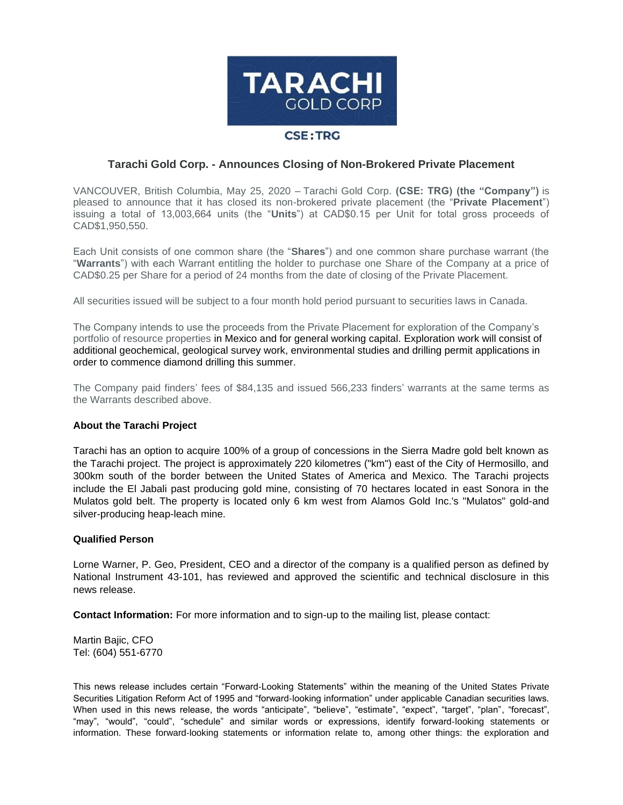

## **Tarachi Gold Corp. - Announces Closing of Non-Brokered Private Placement**

VANCOUVER, British Columbia, May 25, 2020 – Tarachi Gold Corp. **(CSE: TRG) (the "Company")** is pleased to announce that it has closed its non-brokered private placement (the "**Private Placement**") issuing a total of 13,003,664 units (the "**Units**") at CAD\$0.15 per Unit for total gross proceeds of CAD\$1,950,550.

Each Unit consists of one common share (the "**Shares**") and one common share purchase warrant (the "**Warrants**") with each Warrant entitling the holder to purchase one Share of the Company at a price of CAD\$0.25 per Share for a period of 24 months from the date of closing of the Private Placement.

All securities issued will be subject to a four month hold period pursuant to securities laws in Canada.

The Company intends to use the proceeds from the Private Placement for exploration of the Company's portfolio of resource properties in Mexico and for general working capital. Exploration work will consist of additional geochemical, geological survey work, environmental studies and drilling permit applications in order to commence diamond drilling this summer.

The Company paid finders' fees of \$84,135 and issued 566,233 finders' warrants at the same terms as the Warrants described above.

## **About the Tarachi Project**

Tarachi has an option to acquire 100% of a group of concessions in the Sierra Madre gold belt known as the Tarachi project. The project is approximately 220 kilometres ("km") east of the City of Hermosillo, and 300km south of the border between the United States of America and Mexico. The Tarachi projects include the El Jabali past producing gold mine, consisting of 70 hectares located in east Sonora in the Mulatos gold belt. The property is located only 6 km west from Alamos Gold Inc.'s "Mulatos" gold-and silver-producing heap-leach mine.

## **Qualified Person**

Lorne Warner, P. Geo, President, CEO and a director of the company is a qualified person as defined by National Instrument 43-101, has reviewed and approved the scientific and technical disclosure in this news release.

**Contact Information:** For more information and to sign-up to the mailing list, please contact:

Martin Bajic, CFO Tel: (604) 551-6770

This news release includes certain "Forward‐Looking Statements" within the meaning of the United States Private Securities Litigation Reform Act of 1995 and "forward-looking information" under applicable Canadian securities laws. When used in this news release, the words "anticipate", "believe", "estimate", "expect", "target", "plan", "forecast", "may", "would", "could", "schedule" and similar words or expressions, identify forward‐looking statements or information. These forward‐looking statements or information relate to, among other things: the exploration and